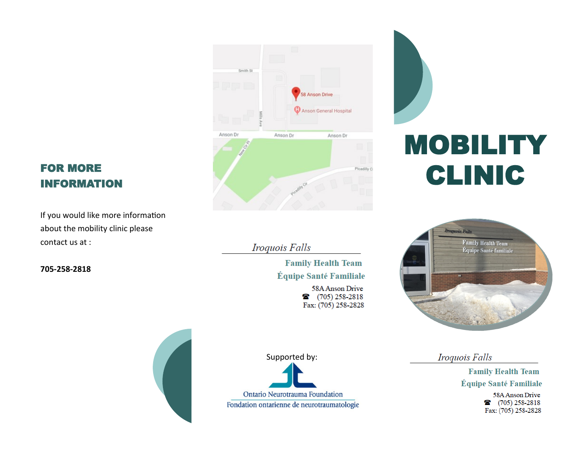# FOR MORE INFORMATION

If you would like more information about the mobility clinic please contact us at :

**705-258-2818**



Iroquois Falls

**Family Health Team** Équipe Santé Familiale 58A Anson Drive

28 (705) 258-2818 Fax: (705) 258-2828

Supported by:

Ontario Neurotrauma Foundation Fondation ontarienne de neurotraumatologie

# MOBILITY CLINIC



Iroquois Falls

**Family Health Team** Équipe Santé Familiale

> 58A Anson Drive 28 (705) 258-2818 Fax: (705) 258-2828